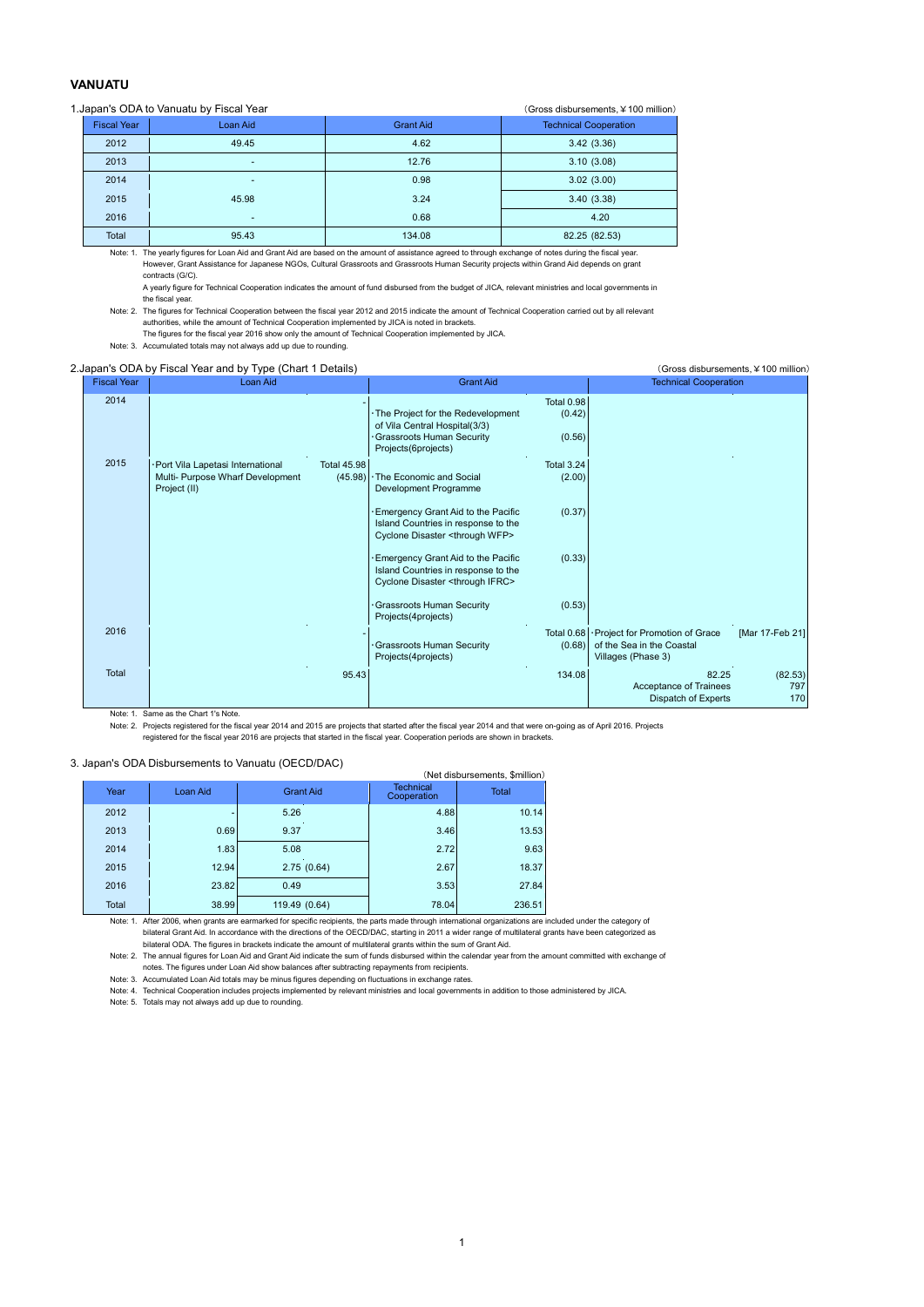## **VANUATU**

## 1.Japan's ODA to Vanuatu by Fiscal Year (Gross disbursements, ¥100 million)

|                    | 100<br>$\sim$ |                  |                              |  |  |  |  |  |
|--------------------|---------------|------------------|------------------------------|--|--|--|--|--|
| <b>Fiscal Year</b> | Loan Aid      | <b>Grant Aid</b> | <b>Technical Cooperation</b> |  |  |  |  |  |
| 2012               | 49.45         | 4.62             | 3.42(3.36)                   |  |  |  |  |  |
| 2013               | ۰             | 12.76            | 3.10(3.08)                   |  |  |  |  |  |
| 2014               | ۰             | 0.98             | 3.02(3.00)                   |  |  |  |  |  |
| 2015               | 45.98         | 3.24             | 3.40(3.38)                   |  |  |  |  |  |
| 2016               | ۰             | 0.68             | 4.20                         |  |  |  |  |  |
| Total              | 95.43         | 134.08           | 82.25 (82.53)                |  |  |  |  |  |

Note: 1. The yearly figures for Loan Aid and Grant Aid are based on the amount of assistance agreed to through exchange of notes during the fiscal year. However, Grant Assistance for Japanese NGOs, Cultural Grassroots and Grassroots Human Security projects within Grand Aid depends on grant contracts (G/C).

A yearly figure for Technical Cooperation indicates the amount of fund disbursed from the budget of JICA, relevant ministries and local governments in the fiscal year.

Note: 2. The figures for Technical Cooperation between the fiscal year 2012 and 2015 indicate the amount of Technical Cooperation carried out by all relevant authorities, while the amount of Technical Cooperation implemented by JICA is noted in brackets.

The figures for the fiscal year 2016 show only the amount of Technical Cooperation implemented by JICA. Note: 3. Accumulated totals may not always add up due to rounding.

## 2.Japan's ODA by Fiscal Year and by Type (Chart 1 Details) (Gross disbursements, ¥100 million)

| <b>Fiscal Year</b> | <b>Loan Aid</b>                                                                      | <b>Grant Aid</b>                                                                                                                |                                       | <b>Technical Cooperation</b>                                                        |                       |
|--------------------|--------------------------------------------------------------------------------------|---------------------------------------------------------------------------------------------------------------------------------|---------------------------------------|-------------------------------------------------------------------------------------|-----------------------|
| 2014               |                                                                                      | . The Project for the Redevelopment<br>of Vila Central Hospital(3/3)<br><b>Grassroots Human Security</b><br>Projects(6projects) | <b>Total 0.98</b><br>(0.42)<br>(0.56) |                                                                                     |                       |
| 2015               | Port Vila Lapetasi International<br>Multi- Purpose Wharf Development<br>Project (II) | <b>Total 45.98</b><br>$(45.98)$ . The Economic and Social<br>Development Programme                                              | <b>Total 3.24</b><br>(2.00)           |                                                                                     |                       |
|                    |                                                                                      | Emergency Grant Aid to the Pacific<br>Island Countries in response to the<br>Cyclone Disaster <through wfp=""></through>        | (0.37)                                |                                                                                     |                       |
|                    |                                                                                      | Emergency Grant Aid to the Pacific<br>Island Countries in response to the<br>Cyclone Disaster <through ifrc=""></through>       | (0.33)                                |                                                                                     |                       |
|                    |                                                                                      | Grassroots Human Security<br>Projects(4projects)                                                                                | (0.53)                                |                                                                                     |                       |
| 2016               |                                                                                      | Grassroots Human Security<br>Projects(4projects)                                                                                | Total 0.68<br>(0.68)                  | · Project for Promotion of Grace<br>of the Sea in the Coastal<br>Villages (Phase 3) | [Mar 17-Feb 21]       |
| Total              |                                                                                      | 95.43                                                                                                                           | 134.08                                | 82.25<br>Acceptance of Trainees<br>Dispatch of Experts                              | (82.53)<br>797<br>170 |

Note: 1. Same as the Chart 1's Note.

Note: 2. Projects registered for the fiscal year 2014 and 2015 are projects that started after the fiscal year 2014 and that were on-going as of April 2016. Projects

registered for the fiscal year 2016 are projects that started in the fiscal year. Cooperation periods are shown in brackets.

## 3. Japan's ODA Disbursements to Vanuatu (OECD/DAC)

| . Japan's ODA Dispuisements to vanuatu (OLCD/DAC)<br>(Net disbursements, \$million) |          |                  |                                 |              |  |  |  |  |  |  |
|-------------------------------------------------------------------------------------|----------|------------------|---------------------------------|--------------|--|--|--|--|--|--|
| Year                                                                                | Loan Aid | <b>Grant Aid</b> | <b>Technical</b><br>Cooperation | <b>Total</b> |  |  |  |  |  |  |
| 2012                                                                                |          | 5.26             | 4.88                            | 10.14        |  |  |  |  |  |  |
| 2013                                                                                | 0.69     | 9.37             | 3.46                            | 13.53        |  |  |  |  |  |  |
| 2014                                                                                | 1.83     | 5.08             | 2.72                            | 9.63         |  |  |  |  |  |  |
| 2015                                                                                | 12.94    | 2.75(0.64)       | 2.67                            | 18.37        |  |  |  |  |  |  |
| 2016                                                                                | 23.82    | 0.49             | 3.53                            | 27.84        |  |  |  |  |  |  |
| Total                                                                               | 38.99    | 119.49 (0.64)    | 78.04                           | 236.51       |  |  |  |  |  |  |

Note: 1. After 2006, when grants are earmarked for specific recipients, the parts made through international organizations are included under the category of bilateral Grant Aid. In accordance with the directions of the OECD/DAC, starting in 2011 a wider range of multilateral grants have been categorized as

bilateral ODA. The figures in brackets indicate the amount of multilateral grants within the sum of Grant Aid. Note: 2. The annual figures for Loan Aid and Grant Aid indicate the sum of funds disbursed within the calendar year from the amount committed with exchange of

notes. The figures under Loan Aid show balances after subtracting repayments from recipients.

Note: 3. Accumulated Loan Aid totals may be minus figures depending on fluctuations in exchange rates.

Note: 4. Technical Cooperation includes projects implemented by relevant ministries and local governments in addition to those administered by JICA.

Note: 5. Totals may not always add up due to rounding.